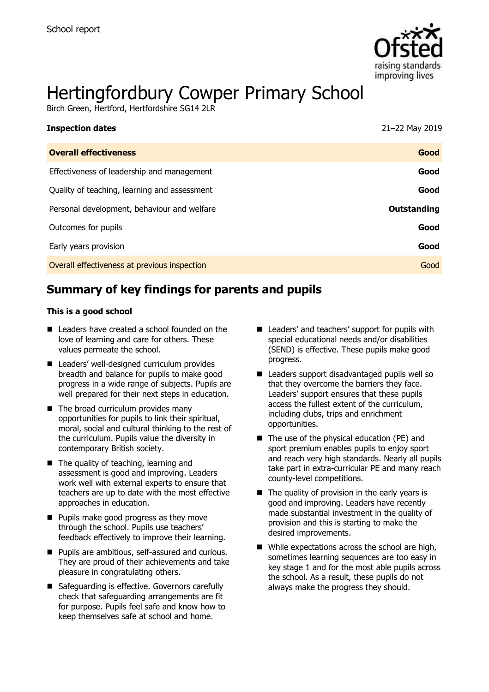

# Hertingfordbury Cowper Primary School

Birch Green, Hertford, Hertfordshire SG14 2LR

| <b>Inspection dates</b>                      | 21-22 May 2019     |
|----------------------------------------------|--------------------|
| <b>Overall effectiveness</b>                 | Good               |
| Effectiveness of leadership and management   | Good               |
| Quality of teaching, learning and assessment | Good               |
| Personal development, behaviour and welfare  | <b>Outstanding</b> |
| Outcomes for pupils                          | Good               |
| Early years provision                        | Good               |
| Overall effectiveness at previous inspection | Good               |

# **Summary of key findings for parents and pupils**

#### **This is a good school**

- Leaders have created a school founded on the love of learning and care for others. These values permeate the school.
- Leaders' well-designed curriculum provides breadth and balance for pupils to make good progress in a wide range of subjects. Pupils are well prepared for their next steps in education.
- The broad curriculum provides many opportunities for pupils to link their spiritual, moral, social and cultural thinking to the rest of the curriculum. Pupils value the diversity in contemporary British society.
- The quality of teaching, learning and assessment is good and improving. Leaders work well with external experts to ensure that teachers are up to date with the most effective approaches in education.
- **Pupils make good progress as they move** through the school. Pupils use teachers' feedback effectively to improve their learning.
- **Pupils are ambitious, self-assured and curious.** They are proud of their achievements and take pleasure in congratulating others.
- Safeguarding is effective. Governors carefully check that safeguarding arrangements are fit for purpose. Pupils feel safe and know how to keep themselves safe at school and home.
- Leaders' and teachers' support for pupils with special educational needs and/or disabilities (SEND) is effective. These pupils make good progress.
- Leaders support disadvantaged pupils well so that they overcome the barriers they face. Leaders' support ensures that these pupils access the fullest extent of the curriculum, including clubs, trips and enrichment opportunities.
- $\blacksquare$  The use of the physical education (PE) and sport premium enables pupils to enjoy sport and reach very high standards. Nearly all pupils take part in extra-curricular PE and many reach county-level competitions.
- $\blacksquare$  The quality of provision in the early years is good and improving. Leaders have recently made substantial investment in the quality of provision and this is starting to make the desired improvements.
- While expectations across the school are high, sometimes learning sequences are too easy in key stage 1 and for the most able pupils across the school. As a result, these pupils do not always make the progress they should.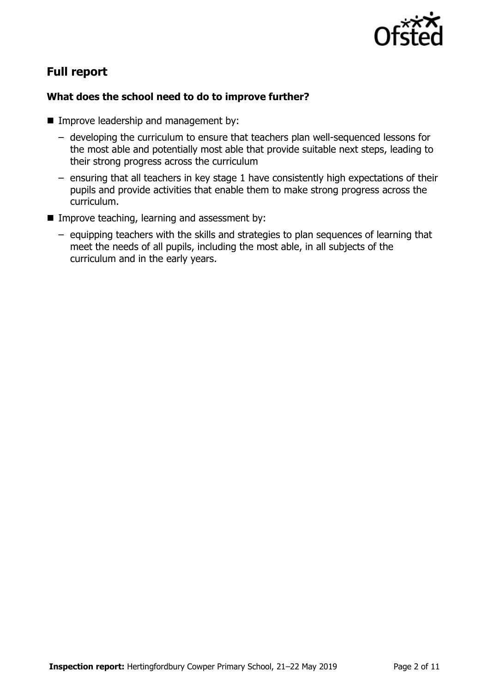

# **Full report**

### **What does the school need to do to improve further?**

- **Improve leadership and management by:** 
	- developing the curriculum to ensure that teachers plan well-sequenced lessons for the most able and potentially most able that provide suitable next steps, leading to their strong progress across the curriculum
	- ensuring that all teachers in key stage 1 have consistently high expectations of their pupils and provide activities that enable them to make strong progress across the curriculum.
- $\blacksquare$  Improve teaching, learning and assessment by:
	- equipping teachers with the skills and strategies to plan sequences of learning that meet the needs of all pupils, including the most able, in all subjects of the curriculum and in the early years.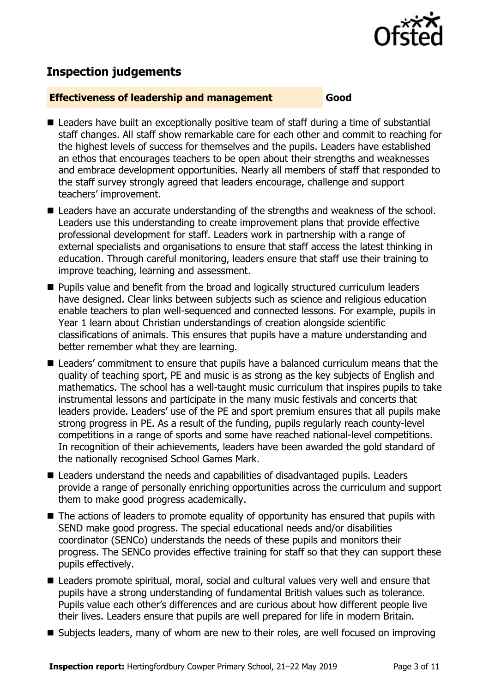

# **Inspection judgements**

#### **Effectiveness of leadership and management Good**

- Leaders have built an exceptionally positive team of staff during a time of substantial staff changes. All staff show remarkable care for each other and commit to reaching for the highest levels of success for themselves and the pupils. Leaders have established an ethos that encourages teachers to be open about their strengths and weaknesses and embrace development opportunities. Nearly all members of staff that responded to the staff survey strongly agreed that leaders encourage, challenge and support teachers' improvement.
- Leaders have an accurate understanding of the strengths and weakness of the school. Leaders use this understanding to create improvement plans that provide effective professional development for staff. Leaders work in partnership with a range of external specialists and organisations to ensure that staff access the latest thinking in education. Through careful monitoring, leaders ensure that staff use their training to improve teaching, learning and assessment.
- **Pupils value and benefit from the broad and logically structured curriculum leaders** have designed. Clear links between subjects such as science and religious education enable teachers to plan well-sequenced and connected lessons. For example, pupils in Year 1 learn about Christian understandings of creation alongside scientific classifications of animals. This ensures that pupils have a mature understanding and better remember what they are learning.
- Leaders' commitment to ensure that pupils have a balanced curriculum means that the quality of teaching sport, PE and music is as strong as the key subjects of English and mathematics. The school has a well-taught music curriculum that inspires pupils to take instrumental lessons and participate in the many music festivals and concerts that leaders provide. Leaders' use of the PE and sport premium ensures that all pupils make strong progress in PE. As a result of the funding, pupils regularly reach county-level competitions in a range of sports and some have reached national-level competitions. In recognition of their achievements, leaders have been awarded the gold standard of the nationally recognised School Games Mark.
- Leaders understand the needs and capabilities of disadvantaged pupils. Leaders provide a range of personally enriching opportunities across the curriculum and support them to make good progress academically.
- The actions of leaders to promote equality of opportunity has ensured that pupils with SEND make good progress. The special educational needs and/or disabilities coordinator (SENCo) understands the needs of these pupils and monitors their progress. The SENCo provides effective training for staff so that they can support these pupils effectively.
- Leaders promote spiritual, moral, social and cultural values very well and ensure that pupils have a strong understanding of fundamental British values such as tolerance. Pupils value each other's differences and are curious about how different people live their lives. Leaders ensure that pupils are well prepared for life in modern Britain.
- Subjects leaders, many of whom are new to their roles, are well focused on improving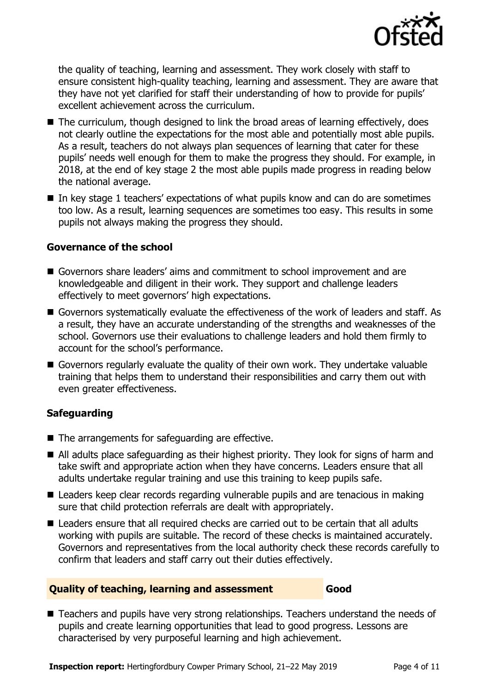

the quality of teaching, learning and assessment. They work closely with staff to ensure consistent high-quality teaching, learning and assessment. They are aware that they have not yet clarified for staff their understanding of how to provide for pupils' excellent achievement across the curriculum.

- $\blacksquare$  The curriculum, though designed to link the broad areas of learning effectively, does not clearly outline the expectations for the most able and potentially most able pupils. As a result, teachers do not always plan sequences of learning that cater for these pupils' needs well enough for them to make the progress they should. For example, in 2018, at the end of key stage 2 the most able pupils made progress in reading below the national average.
- In key stage 1 teachers' expectations of what pupils know and can do are sometimes too low. As a result, learning sequences are sometimes too easy. This results in some pupils not always making the progress they should.

#### **Governance of the school**

- Governors share leaders' aims and commitment to school improvement and are knowledgeable and diligent in their work. They support and challenge leaders effectively to meet governors' high expectations.
- Governors systematically evaluate the effectiveness of the work of leaders and staff. As a result, they have an accurate understanding of the strengths and weaknesses of the school. Governors use their evaluations to challenge leaders and hold them firmly to account for the school's performance.
- Governors regularly evaluate the quality of their own work. They undertake valuable training that helps them to understand their responsibilities and carry them out with even greater effectiveness.

### **Safeguarding**

- $\blacksquare$  The arrangements for safeguarding are effective.
- All adults place safeguarding as their highest priority. They look for signs of harm and take swift and appropriate action when they have concerns. Leaders ensure that all adults undertake regular training and use this training to keep pupils safe.
- Leaders keep clear records regarding vulnerable pupils and are tenacious in making sure that child protection referrals are dealt with appropriately.
- Leaders ensure that all required checks are carried out to be certain that all adults working with pupils are suitable. The record of these checks is maintained accurately. Governors and representatives from the local authority check these records carefully to confirm that leaders and staff carry out their duties effectively.

#### **Quality of teaching, learning and assessment Good**

■ Teachers and pupils have very strong relationships. Teachers understand the needs of pupils and create learning opportunities that lead to good progress. Lessons are characterised by very purposeful learning and high achievement.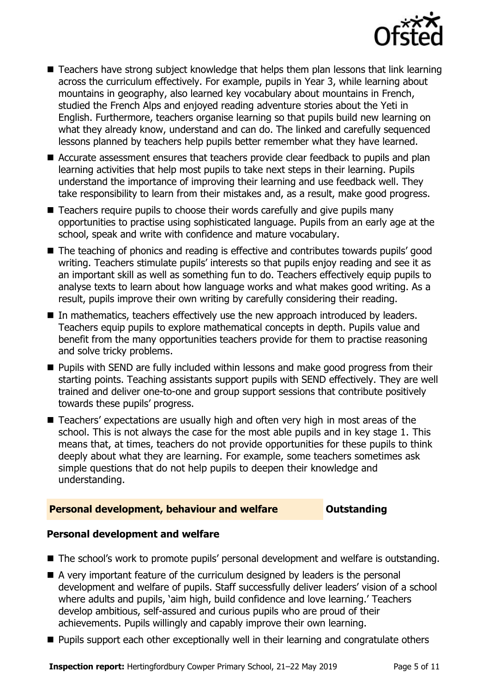

- Teachers have strong subject knowledge that helps them plan lessons that link learning across the curriculum effectively. For example, pupils in Year 3, while learning about mountains in geography, also learned key vocabulary about mountains in French, studied the French Alps and enjoyed reading adventure stories about the Yeti in English. Furthermore, teachers organise learning so that pupils build new learning on what they already know, understand and can do. The linked and carefully sequenced lessons planned by teachers help pupils better remember what they have learned.
- Accurate assessment ensures that teachers provide clear feedback to pupils and plan learning activities that help most pupils to take next steps in their learning. Pupils understand the importance of improving their learning and use feedback well. They take responsibility to learn from their mistakes and, as a result, make good progress.
- Teachers require pupils to choose their words carefully and give pupils many opportunities to practise using sophisticated language. Pupils from an early age at the school, speak and write with confidence and mature vocabulary.
- The teaching of phonics and reading is effective and contributes towards pupils' good writing. Teachers stimulate pupils' interests so that pupils enjoy reading and see it as an important skill as well as something fun to do. Teachers effectively equip pupils to analyse texts to learn about how language works and what makes good writing. As a result, pupils improve their own writing by carefully considering their reading.
- In mathematics, teachers effectively use the new approach introduced by leaders. Teachers equip pupils to explore mathematical concepts in depth. Pupils value and benefit from the many opportunities teachers provide for them to practise reasoning and solve tricky problems.
- **Pupils with SEND are fully included within lessons and make good progress from their** starting points. Teaching assistants support pupils with SEND effectively. They are well trained and deliver one-to-one and group support sessions that contribute positively towards these pupils' progress.
- Teachers' expectations are usually high and often very high in most areas of the school. This is not always the case for the most able pupils and in key stage 1. This means that, at times, teachers do not provide opportunities for these pupils to think deeply about what they are learning. For example, some teachers sometimes ask simple questions that do not help pupils to deepen their knowledge and understanding.

### **Personal development, behaviour and welfare <b>COUTS** Outstanding

### **Personal development and welfare**

- The school's work to promote pupils' personal development and welfare is outstanding.
- A very important feature of the curriculum designed by leaders is the personal development and welfare of pupils. Staff successfully deliver leaders' vision of a school where adults and pupils, 'aim high, build confidence and love learning.' Teachers develop ambitious, self-assured and curious pupils who are proud of their achievements. Pupils willingly and capably improve their own learning.
- **Pupils support each other exceptionally well in their learning and congratulate others**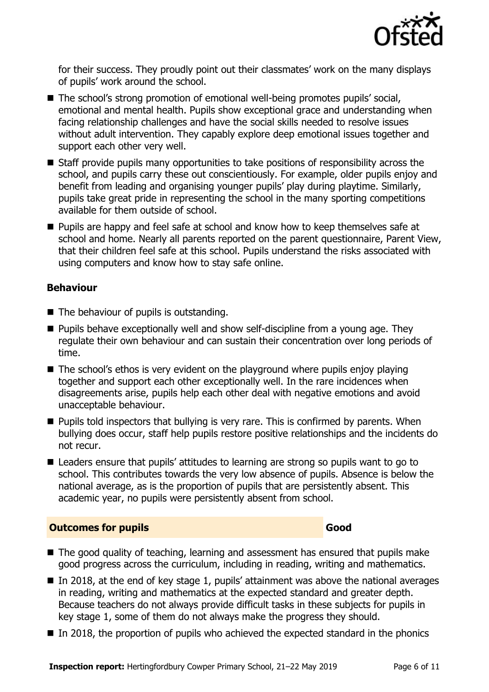

for their success. They proudly point out their classmates' work on the many displays of pupils' work around the school.

- The school's strong promotion of emotional well-being promotes pupils' social, emotional and mental health. Pupils show exceptional grace and understanding when facing relationship challenges and have the social skills needed to resolve issues without adult intervention. They capably explore deep emotional issues together and support each other very well.
- Staff provide pupils many opportunities to take positions of responsibility across the school, and pupils carry these out conscientiously. For example, older pupils enjoy and benefit from leading and organising younger pupils' play during playtime. Similarly, pupils take great pride in representing the school in the many sporting competitions available for them outside of school.
- **Pupils are happy and feel safe at school and know how to keep themselves safe at** school and home. Nearly all parents reported on the parent questionnaire, Parent View, that their children feel safe at this school. Pupils understand the risks associated with using computers and know how to stay safe online.

### **Behaviour**

- The behaviour of pupils is outstanding.
- $\blacksquare$  Pupils behave exceptionally well and show self-discipline from a young age. They regulate their own behaviour and can sustain their concentration over long periods of time.
- The school's ethos is very evident on the playground where pupils enjoy playing together and support each other exceptionally well. In the rare incidences when disagreements arise, pupils help each other deal with negative emotions and avoid unacceptable behaviour.
- **Pupils told inspectors that bullying is very rare. This is confirmed by parents. When** bullying does occur, staff help pupils restore positive relationships and the incidents do not recur.
- Leaders ensure that pupils' attitudes to learning are strong so pupils want to go to school. This contributes towards the very low absence of pupils. Absence is below the national average, as is the proportion of pupils that are persistently absent. This academic year, no pupils were persistently absent from school.

### **Outcomes for pupils Good**

- The good quality of teaching, learning and assessment has ensured that pupils make good progress across the curriculum, including in reading, writing and mathematics.
- In 2018, at the end of key stage 1, pupils' attainment was above the national averages in reading, writing and mathematics at the expected standard and greater depth. Because teachers do not always provide difficult tasks in these subjects for pupils in key stage 1, some of them do not always make the progress they should.
- In 2018, the proportion of pupils who achieved the expected standard in the phonics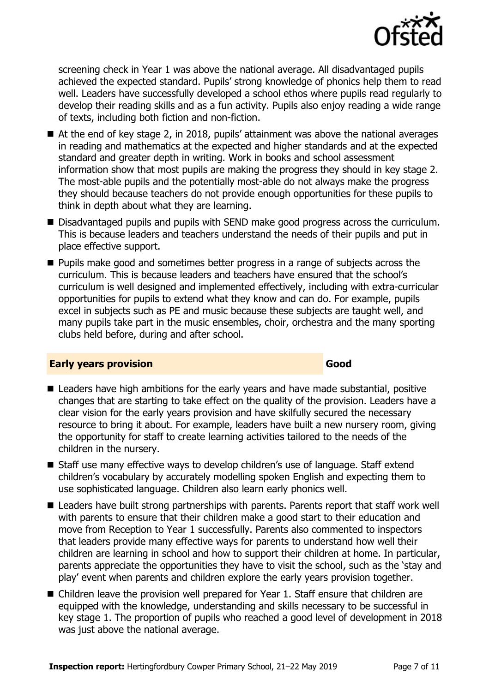

screening check in Year 1 was above the national average. All disadvantaged pupils achieved the expected standard. Pupils' strong knowledge of phonics help them to read well. Leaders have successfully developed a school ethos where pupils read regularly to develop their reading skills and as a fun activity. Pupils also enjoy reading a wide range of texts, including both fiction and non-fiction.

- At the end of key stage 2, in 2018, pupils' attainment was above the national averages in reading and mathematics at the expected and higher standards and at the expected standard and greater depth in writing. Work in books and school assessment information show that most pupils are making the progress they should in key stage 2. The most-able pupils and the potentially most-able do not always make the progress they should because teachers do not provide enough opportunities for these pupils to think in depth about what they are learning.
- Disadvantaged pupils and pupils with SEND make good progress across the curriculum. This is because leaders and teachers understand the needs of their pupils and put in place effective support.
- **Pupils make good and sometimes better progress in a range of subjects across the** curriculum. This is because leaders and teachers have ensured that the school's curriculum is well designed and implemented effectively, including with extra-curricular opportunities for pupils to extend what they know and can do. For example, pupils excel in subjects such as PE and music because these subjects are taught well, and many pupils take part in the music ensembles, choir, orchestra and the many sporting clubs held before, during and after school.

### **Early years provision Good**

- Leaders have high ambitions for the early years and have made substantial, positive changes that are starting to take effect on the quality of the provision. Leaders have a clear vision for the early years provision and have skilfully secured the necessary resource to bring it about. For example, leaders have built a new nursery room, giving the opportunity for staff to create learning activities tailored to the needs of the children in the nursery.
- Staff use many effective ways to develop children's use of language. Staff extend children's vocabulary by accurately modelling spoken English and expecting them to use sophisticated language. Children also learn early phonics well.
- Leaders have built strong partnerships with parents. Parents report that staff work well with parents to ensure that their children make a good start to their education and move from Reception to Year 1 successfully. Parents also commented to inspectors that leaders provide many effective ways for parents to understand how well their children are learning in school and how to support their children at home. In particular, parents appreciate the opportunities they have to visit the school, such as the 'stay and play' event when parents and children explore the early years provision together.
- Children leave the provision well prepared for Year 1. Staff ensure that children are equipped with the knowledge, understanding and skills necessary to be successful in key stage 1. The proportion of pupils who reached a good level of development in 2018 was just above the national average.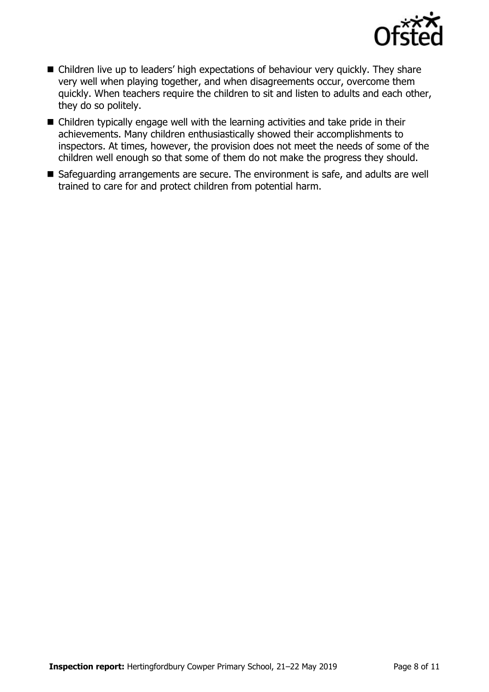

- Children live up to leaders' high expectations of behaviour very quickly. They share very well when playing together, and when disagreements occur, overcome them quickly. When teachers require the children to sit and listen to adults and each other, they do so politely.
- Children typically engage well with the learning activities and take pride in their achievements. Many children enthusiastically showed their accomplishments to inspectors. At times, however, the provision does not meet the needs of some of the children well enough so that some of them do not make the progress they should.
- Safeguarding arrangements are secure. The environment is safe, and adults are well trained to care for and protect children from potential harm.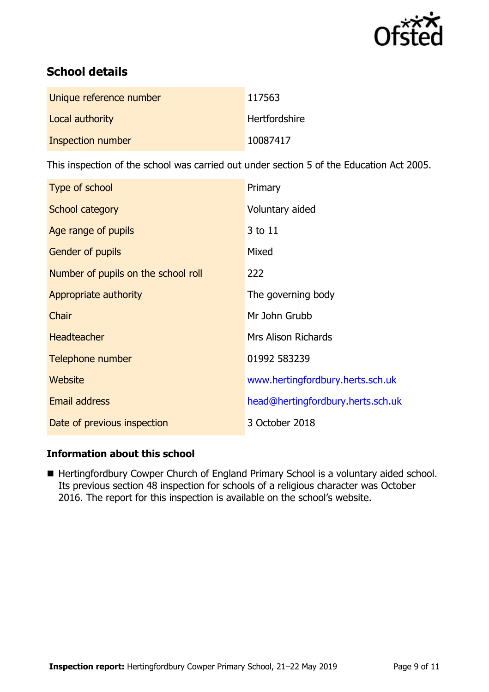

# **School details**

| Unique reference number | 117563               |
|-------------------------|----------------------|
| Local authority         | <b>Hertfordshire</b> |
| Inspection number       | 10087417             |

This inspection of the school was carried out under section 5 of the Education Act 2005.

| Type of school                      | Primary                           |
|-------------------------------------|-----------------------------------|
| School category                     | Voluntary aided                   |
| Age range of pupils                 | 3 to 11                           |
| <b>Gender of pupils</b>             | Mixed                             |
| Number of pupils on the school roll | 222                               |
| Appropriate authority               | The governing body                |
| Chair                               | Mr John Grubb                     |
| <b>Headteacher</b>                  | <b>Mrs Alison Richards</b>        |
| Telephone number                    | 01992 583239                      |
| Website                             | www.hertingfordbury.herts.sch.uk  |
| Email address                       | head@hertingfordbury.herts.sch.uk |
| Date of previous inspection         | 3 October 2018                    |

### **Information about this school**

Hertingfordbury Cowper Church of England Primary School is a voluntary aided school. Its previous section 48 inspection for schools of a religious character was October 2016. The report for this inspection is available on the school's website.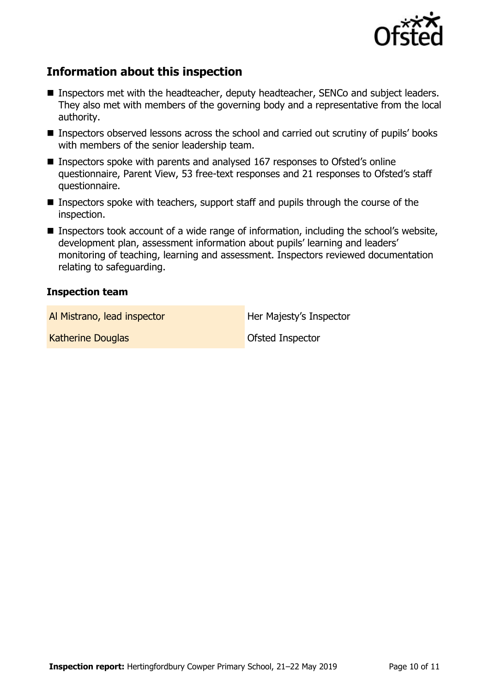

# **Information about this inspection**

- **Inspectors met with the headteacher, deputy headteacher, SENCo and subject leaders.** They also met with members of the governing body and a representative from the local authority.
- **Inspectors observed lessons across the school and carried out scrutiny of pupils' books** with members of the senior leadership team.
- Inspectors spoke with parents and analysed 167 responses to Ofsted's online questionnaire, Parent View, 53 free-text responses and 21 responses to Ofsted's staff questionnaire.
- Inspectors spoke with teachers, support staff and pupils through the course of the inspection.
- Inspectors took account of a wide range of information, including the school's website, development plan, assessment information about pupils' learning and leaders' monitoring of teaching, learning and assessment. Inspectors reviewed documentation relating to safeguarding.

#### **Inspection team**

Al Mistrano, lead inspector **Her Majesty's Inspector** 

Katherine Douglas **Communist Construction** Ofsted Inspector